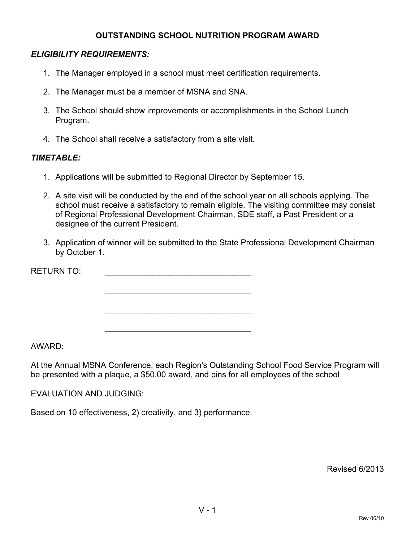#### **OUTSTANDING SCHOOL NUTRITION PROGRAM AWARD**

### *ELIGIBILITY REQUIREMENTS:*

- 1. The Manager employed in a school must meet certification requirements.
- 2. The Manager must be a member of MSNA and SNA.
- 3. The School should show improvements or accomplishments in the School Lunch Program.
- 4. The School shall receive a satisfactory from a site visit.

#### *TIMETABLE:*

1. Applications will be submitted to Regional Director by September 15.

\_\_\_\_\_\_\_\_\_\_\_\_\_\_\_\_\_\_\_\_\_\_\_\_\_\_\_\_\_\_\_\_

 $\mathcal{L}_\text{max}$  and  $\mathcal{L}_\text{max}$  and  $\mathcal{L}_\text{max}$  and  $\mathcal{L}_\text{max}$ 

\_\_\_\_\_\_\_\_\_\_\_\_\_\_\_\_\_\_\_\_\_\_\_\_\_\_\_\_\_\_\_\_

- 2. A site visit will be conducted by the end of the school year on all schools applying. The school must receive a satisfactory to remain eligible. The visiting committee may consist of Regional Professional Development Chairman, SDE staff, a Past President or a designee of the current President.
- 3. Application of winner will be submitted to the State Professional Development Chairman by October 1.

RETURN TO:

AWARD:

At the Annual MSNA Conference, each Region's Outstanding School Food Service Program will be presented with a plaque, a \$50.00 award, and pins for all employees of the school

EVALUATION AND JUDGING:

Based on 10 effectiveness, 2) creativity, and 3) performance.

Revised 6/2013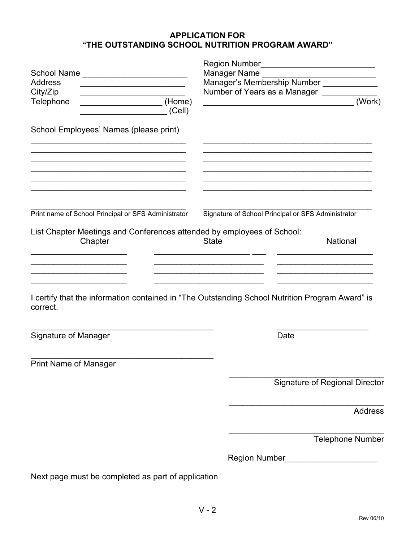## **APPLICATION FOR "THE OUTSTANDING SCHOOL NUTRITION PROGRAM AWARD"**

|                                                                                                                         | Region Number                                                                                   |  |  |
|-------------------------------------------------------------------------------------------------------------------------|-------------------------------------------------------------------------------------------------|--|--|
| School Name                                                                                                             | Manager Name<br>Manager's Membership Number _____________                                       |  |  |
| <b>Address</b><br><u> 1989 - Johann Barbara, martxa alemaniar a</u>                                                     |                                                                                                 |  |  |
| City/Zip                                                                                                                | Number of Years as a Manager ______                                                             |  |  |
| Telephone<br>(Cell)                                                                                                     | (Work)<br><u> 1980 - Johann Barbara, martxa alemaniar amerikan a</u>                            |  |  |
| School Employees' Names (please print)                                                                                  |                                                                                                 |  |  |
| the control of the control of the control of the control of the control of the control of the control of the control of |                                                                                                 |  |  |
|                                                                                                                         |                                                                                                 |  |  |
|                                                                                                                         |                                                                                                 |  |  |
| Print name of School Principal or SFS Administrator                                                                     | Signature of School Principal or SFS Administrator                                              |  |  |
| List Chapter Meetings and Conferences attended by employees of School:<br>Chapter                                       | National<br><b>State</b>                                                                        |  |  |
|                                                                                                                         |                                                                                                 |  |  |
| correct.                                                                                                                | I certify that the information contained in "The Outstanding School Nutrition Program Award" is |  |  |
| Signature of Manager                                                                                                    | Date                                                                                            |  |  |
| <b>Print Name of Manager</b>                                                                                            |                                                                                                 |  |  |
|                                                                                                                         | Signature of Regional Director                                                                  |  |  |
|                                                                                                                         | <b>Address</b>                                                                                  |  |  |
|                                                                                                                         | <b>Telephone Number</b>                                                                         |  |  |
|                                                                                                                         |                                                                                                 |  |  |
|                                                                                                                         | Region Number_________________________                                                          |  |  |
| Next page must be completed as part of application                                                                      |                                                                                                 |  |  |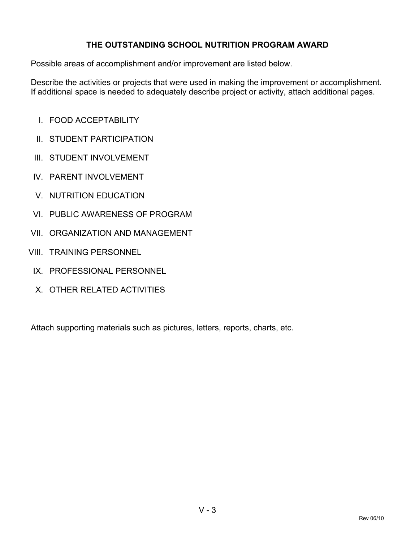## **THE OUTSTANDING SCHOOL NUTRITION PROGRAM AWARD**

Possible areas of accomplishment and/or improvement are listed below.

Describe the activities or projects that were used in making the improvement or accomplishment. If additional space is needed to adequately describe project or activity, attach additional pages.

- I. FOOD ACCEPTABILITY
- II. STUDENT PARTICIPATION
- III. STUDENT INVOLVEMENT
- IV. PARENT INVOLVEMENT
- V. NUTRITION EDUCATION
- VI. PUBLIC AWARENESS OF PROGRAM
- VII. ORGANIZATION AND MANAGEMENT
- VIII. TRAINING PERSONNEL
- IX. PROFESSIONAL PERSONNEL
- X. OTHER RELATED ACTIVITIES

Attach supporting materials such as pictures, letters, reports, charts, etc.